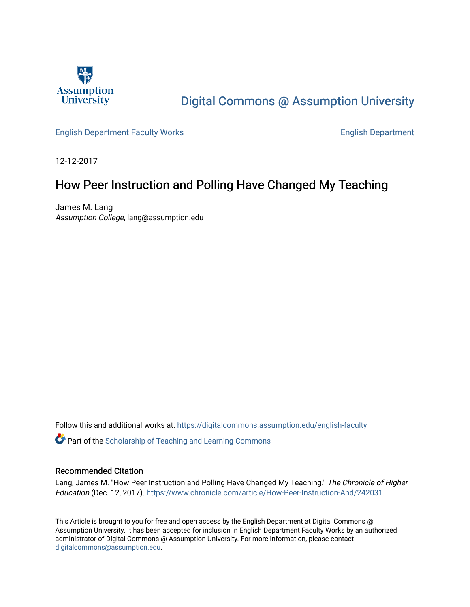

## [Digital Commons @ Assumption University](https://digitalcommons.assumption.edu/)

[English Department Faculty Works](https://digitalcommons.assumption.edu/english-faculty) **English Department** 

12-12-2017

### How Peer Instruction and Polling Have Changed My Teaching

James M. Lang Assumption College, lang@assumption.edu

Follow this and additional works at: [https://digitalcommons.assumption.edu/english-faculty](https://digitalcommons.assumption.edu/english-faculty?utm_source=digitalcommons.assumption.edu%2Fenglish-faculty%2F25&utm_medium=PDF&utm_campaign=PDFCoverPages) 

**P** Part of the Scholarship of Teaching and Learning Commons

#### Recommended Citation

Lang, James M. "How Peer Instruction and Polling Have Changed My Teaching." The Chronicle of Higher Education (Dec. 12, 2017).<https://www.chronicle.com/article/How-Peer-Instruction-And/242031>.

This Article is brought to you for free and open access by the English Department at Digital Commons @ Assumption University. It has been accepted for inclusion in English Department Faculty Works by an authorized administrator of Digital Commons @ Assumption University. For more information, please contact [digitalcommons@assumption.edu](mailto:digitalcommons@assumption.edu).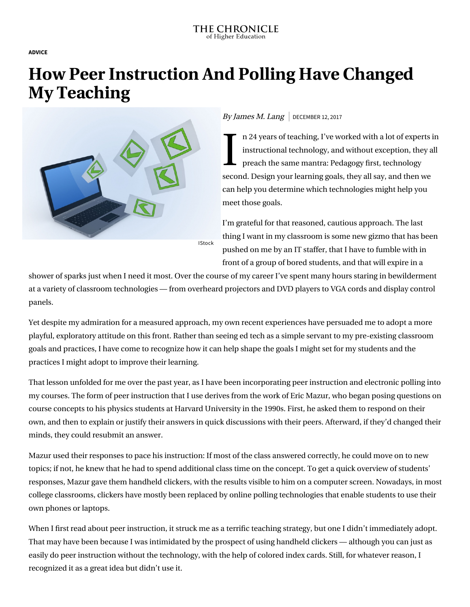**[ADVICE](https://www.chronicle.com/section/Advice/66)**

# **How Peer Instruction And Polling Have Changed My Teaching**



#### By James M. Lang | DECEMBER 12, 2017

 $\prod_{pr}$  ins n 24 years of teaching, I've worked with a lot of experts in instructional technology, and without exception, they all preach the same mantra: Pedagogy first, technology second. Design your learning goals, they all say, and then we can help you determine which technologies might help you meet those goals.

I'm grateful for that reasoned, cautious approach. The last thing I want in my classroom is some new gizmo that has been pushed on me by an IT staffer, that I have to fumble with in front of a group of bored students, and that will expire in a

shower of sparks just when I need it most. Over the course of my career I've spent many hours staring in bewilderment at a variety of classroom technologies — from overheard projectors and DVD players to VGA cords and display control panels.

Yet despite my admiration for a measured approach, my own recent experiences have persuaded me to adopt a more playful, exploratory attitude on this front. Rather than seeing ed tech as a simple servant to my pre-existing classroom goals and practices, I have come to recognize how it can help shape the goals I might set for my students and the practices I might adopt to improve their learning.

That lesson unfolded for me over the past year, as I have been incorporating peer instruction and electronic polling into my courses. The form of peer instruction that I use derives from the work of [Eric Mazur,](http://ericmazur.com/) who began posing questions on course concepts to his physics students at Harvard University in the 1990s. First, he asked them to respond on their own, and then to explain or justify their answers in quick discussions with their peers. Afterward, if they'd changed their minds, they could resubmit an answer.

Mazur used their responses to pace his instruction: If most of the class answered correctly, he could move on to new topics; if not, he knew that he had to spend additional class time on the concept. To get a quick overview of students' responses, Mazur gave them handheld clickers, with the results visible to him on a computer screen. Nowadays, in most college classrooms, clickers have mostly been replaced by online polling technologies that enable students to use their own phones or laptops.

When I first read about peer instruction, it struck me as a terrific teaching strategy, but one I didn't immediately adopt. That may have been because I was intimidated by the prospect of using handheld clickers — although you can just as easily do peer instruction without the technology, with the help of colored index cards. Still, for whatever reason, I recognized it as a great idea but didn't use it.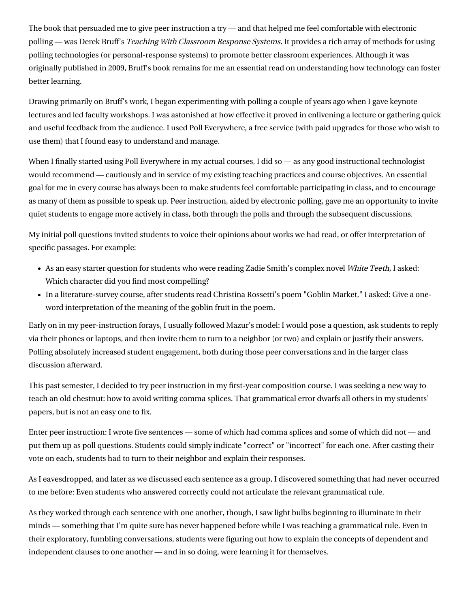The book that persuaded me to give peer instruction a try — and that helped me feel comfortable with electronic polling — was Derek Bruff's Teaching With Classroom Response Systems. It provides a rich array of methods for using polling technologies (or personal-response systems) to promote better classroom experiences. Although it was [originally published in 2009](https://www.amazon.com/Teaching-Classroom-Response-Systems-Environments/dp/0470288930), Bruff's book remains for me an essential read on understanding how technology can foster better learning.

Drawing primarily on Bruff's work, I began experimenting with polling a couple of years ago when I gave keynote lectures and led faculty workshops. I was astonished at how effective it proved in enlivening a lecture or gathering quick and useful feedback from the audience. I used [Poll Everywhere](https://www.polleverywhere.com/), a free service (with paid upgrades for those who wish to use them) that I found easy to understand and manage.

When I finally started using Poll Everywhere in my actual courses, I did so — as any good instructional technologist would recommend — cautiously and in service of my existing teaching practices and course objectives. An essential goal for me in every course has always been to make students feel comfortable participating in class, and to encourage as many of them as possible to speak up. Peer instruction, aided by electronic polling, gave me an opportunity to invite quiet students to engage more actively in class, both through the polls and through the subsequent discussions.

My initial poll questions invited students to voice their opinions about works we had read, or offer interpretation of specific passages. For example:

- As an easy starter question for students who were reading Zadie Smith's complex novel White Teeth, I asked: Which character did you find most compelling?
- In a literature-survey course, after students read Christina Rossetti's poem "Goblin Market," I asked: Give a oneword interpretation of the meaning of the goblin fruit in the poem.

Early on in my peer-instruction forays, I usually followed Mazur's model: I would pose a question, ask students to reply via their phones or laptops, and then invite them to turn to a neighbor (or two) and explain or justify their answers. Polling absolutely increased student engagement, both during those peer conversations and in the larger class discussion afterward.

This past semester, I decided to try peer instruction in my first-year composition course. I was seeking a new way to teach an old chestnut: how to avoid writing comma splices. That grammatical error dwarfs all others in my students' papers, but is not an easy one to fix.

Enter peer instruction: I wrote five sentences — some of which had comma splices and some of which did not — and put them up as poll questions. Students could simply indicate "correct" or "incorrect" for each one. After casting their vote on each, students had to turn to their neighbor and explain their responses.

As I eavesdropped, and later as we discussed each sentence as a group, I discovered something that had never occurred to me before: Even students who answered correctly could not articulate the relevant grammatical rule.

As they worked through each sentence with one another, though, I saw light bulbs beginning to illuminate in their minds — something that I'm quite sure has never happened before while I was teaching a grammatical rule. Even in their exploratory, fumbling conversations, students were figuring out how to explain the concepts of dependent and independent clauses to one another — and in so doing, were learning it for themselves.